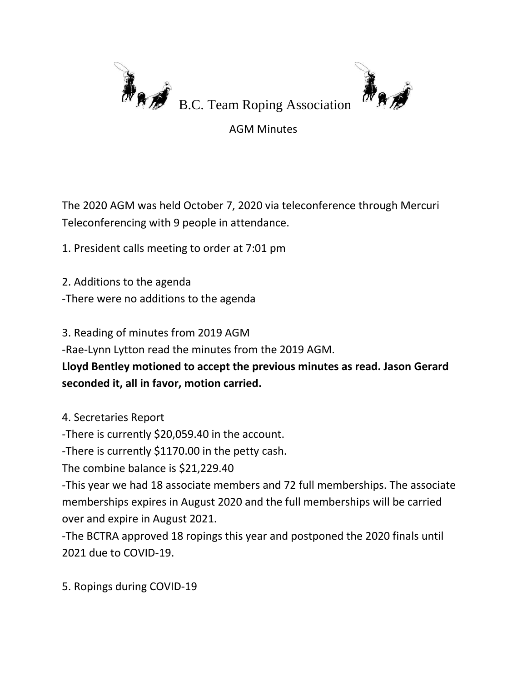

AGM Minutes

The 2020 AGM was held October 7, 2020 via teleconference through Mercuri Teleconferencing with 9 people in attendance.

1. President calls meeting to order at 7:01 pm

- 2. Additions to the agenda
- -There were no additions to the agenda

3. Reading of minutes from 2019 AGM

-Rae-Lynn Lytton read the minutes from the 2019 AGM.

**Lloyd Bentley motioned to accept the previous minutes as read. Jason Gerard seconded it, all in favor, motion carried.**

4. Secretaries Report

-There is currently \$20,059.40 in the account.

-There is currently \$1170.00 in the petty cash.

The combine balance is \$21,229.40

-This year we had 18 associate members and 72 full memberships. The associate memberships expires in August 2020 and the full memberships will be carried over and expire in August 2021.

-The BCTRA approved 18 ropings this year and postponed the 2020 finals until 2021 due to COVID-19.

5. Ropings during COVID-19